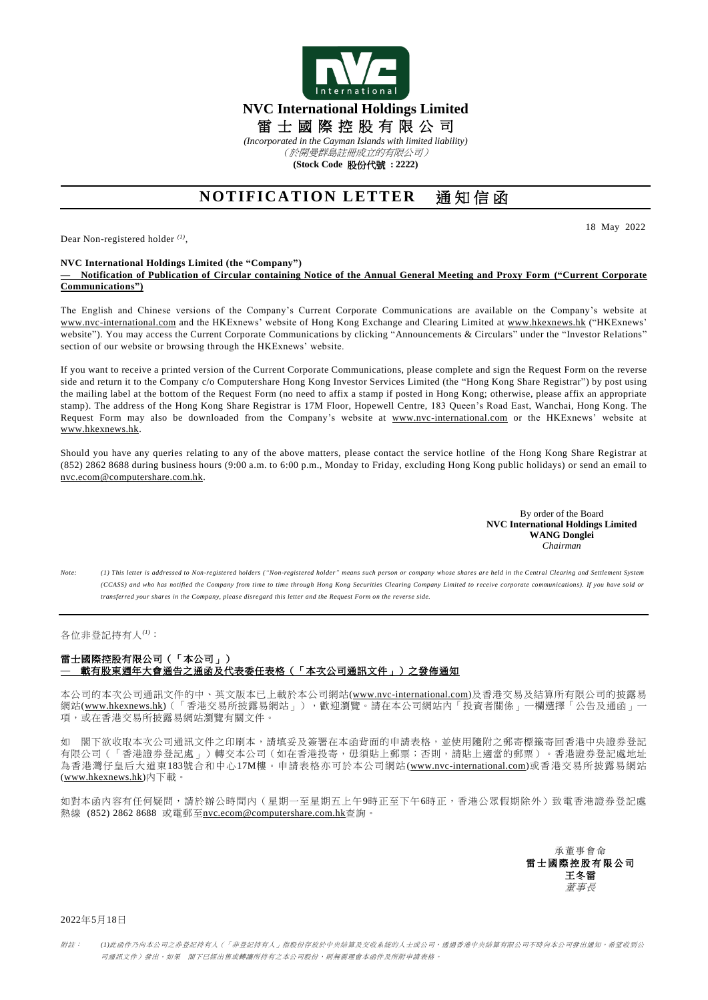

**(Stock Code** 股份代號 **: 2222)**

## **NOTIFICATION LETTER** 通 知 信 函

Dear Non-registered holder *(1)* ,

18 May 2022

## **NVC International Holdings Limited (the "Company")**

**— Notification of Publication of Circular containing Notice of the Annual General Meeting and Proxy Form ("Current Corporate Communications")**

The English and Chinese versions of the Company's Current Corporate Communications are available on the Company's website at [www.nvc-international.com](http://www.nvc-international.com/) and the HKExnews' website of Hong Kong Exchange and Clearing Limited at [www.hkexnews.hk](http://www.hkexnews.hk/) ("HKExnews' website"). You may access the Current Corporate Communications by clicking "Announcements & Circulars" under the "Investor Relations" section of our website or browsing through the HKExnews' website.

If you want to receive a printed version of the Current Corporate Communications, please complete and sign the Request Form on the reverse side and return it to the Company c/o Computershare Hong Kong Investor Services Limited (the "Hong Kong Share Registrar") by post using the mailing label at the bottom of the Request Form (no need to affix a stamp if posted in Hong Kong; otherwise, please affix an appropriate stamp). The address of the Hong Kong Share Registrar is 17M Floor, Hopewell Centre, 183 Queen's Road East, Wanchai, Hong Kong. The Request Form may also be downloaded from the Company's website at [www.nvc-international.com](http://www.nvc-international.com/) or the HKExnews' website at [www.hkexnews.hk.](http://www.hkexnews.hk/)

Should you have any queries relating to any of the above matters, please contact the service hotline of the Hong Kong Share Registrar at (852) 2862 8688 during business hours (9:00 a.m. to 6:00 p.m., Monday to Friday, excluding Hong Kong public holidays) or send an email to [nvc.ecom@computershare.com.hk.](mailto:nvc.ecom@computershare.com.hk)

> By order of the Board **NVC International Holdings Limited WANG Donglei** *Chairman*

*Note: (1) This letter is addressed to Non-registered holders ("Non-registered holder" means such person or company whose shares are held in the Central Clearing and Settlement System (CCASS) and who has notified the Company from time to time through Hong Kong Securities Clearing Company Limited to receive corporate communications). If you have sold or transferred your shares in the Company, please disregard this letter and the Request Form on the reverse side.*

## 各位非登記持有人*(1)*:

## 雷士國際控股有限公司(「本公司」) **—** 載有股東週年大會通告之通函及代表委任表格(「本次公司通訊文件」)之發佈通知

本公司的本次公司通訊文件的中、英文版本已上載於本公司網站[\(www.nvc-international.com\)](http://www.nvc-international.com/)及香港交易及結算所有限公司的披露易 網站[\(www.hkexnews.hk\)](https://www.hkexnews.hk/index_c.htm)(「香港交易所披露易網站」),歡迎瀏覽。請在本公司網站內「投資者關係」一欄選擇「公告及通函」 項,或在香港交易所披露易網站瀏覽有關文件。

如 閣下欲收取本次公司通訊文件之印刷本,請填妥及簽署在本函背面的申請表格,並使用隨附之郵寄標籤寄回香港中央證券登記 有限公司(「香港證券登記處」)轉交本公司(如在香港投寄,毋須貼上郵票;否則,請貼上適當的郵票)。香港證券登記處地址 為香港灣仔皇后大道東183號合和中心17M樓。申請表格亦可於本公司網站[\(www.nvc-international.com\)](http://www.nvc-international.com/)或香港交易所披露易網站 [\(www.hkexnews.hk\)](https://www.hkexnews.hk/index_c.htm)內下載。

如對本函內容有任何疑問,請於辦公時間內(星期一至星期五上午9時正至下午6時正,香港公眾假期除外)致電香港證券登記處 熱線 (852) 2862 8688 或電郵至[nvc.ecom@computershare.com.hk](mailto:nvc.ecom@computershare.com.hk)查詢。

> 承董事會命 雷士國際控股有限公司 王冬雷 董事長

2022年5月18日